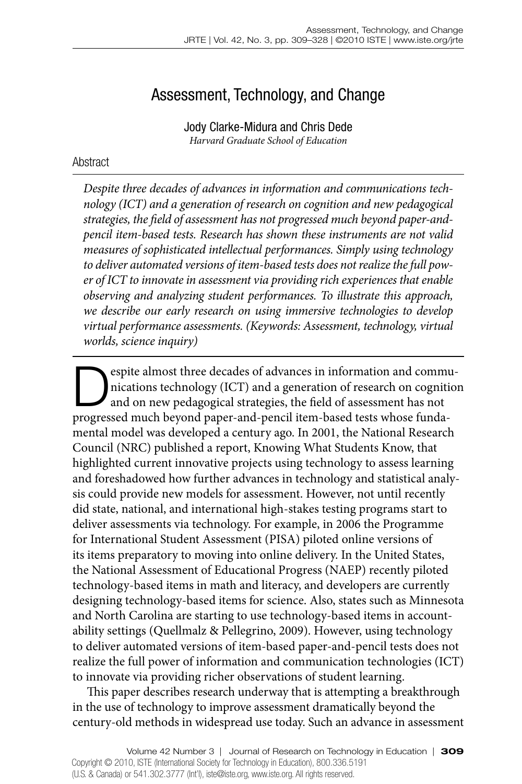# Assessment, Technology, and Change

Jody Clarke-Midura and Chris Dede *Harvard Graduate School of Education*

# Abstract

*Despite three decades of advances in information and communications technology (ICT) and a generation of research on cognition and new pedagogical strategies, the field of assessment has not progressed much beyond paper-andpencil item-based tests. Research has shown these instruments are not valid measures of sophisticated intellectual performances. Simply using technology to deliver automated versions of item-based tests does not realize the full power of ICT to innovate in assessment via providing rich experiences that enable observing and analyzing student performances. To illustrate this approach, we describe our early research on using immersive technologies to develop virtual performance assessments. (Keywords: Assessment, technology, virtual worlds, science inquiry)*

espite almost three decades of advances in information and commu-<br>
and on new pedagogical strategies, the field of assessment has not<br>
and on new pedagogical strategies, the field of assessment has not nications technology (ICT) and a generation of research on cognition progressed much beyond paper-and-pencil item-based tests whose fundamental model was developed a century ago. In 2001, the National Research Council (NRC) published a report, Knowing What Students Know, that highlighted current innovative projects using technology to assess learning and foreshadowed how further advances in technology and statistical analysis could provide new models for assessment. However, not until recently did state, national, and international high-stakes testing programs start to deliver assessments via technology. For example, in 2006 the Programme for International Student Assessment (PISA) piloted online versions of its items preparatory to moving into online delivery. In the United States, the National Assessment of Educational Progress (NAEP) recently piloted technology-based items in math and literacy, and developers are currently designing technology-based items for science. Also, states such as Minnesota and North Carolina are starting to use technology-based items in accountability settings (Quellmalz & Pellegrino, 2009). However, using technology to deliver automated versions of item-based paper-and-pencil tests does not realize the full power of information and communication technologies (ICT) to innovate via providing richer observations of student learning.

This paper describes research underway that is attempting a breakthrough in the use of technology to improve assessment dramatically beyond the century-old methods in widespread use today. Such an advance in assessment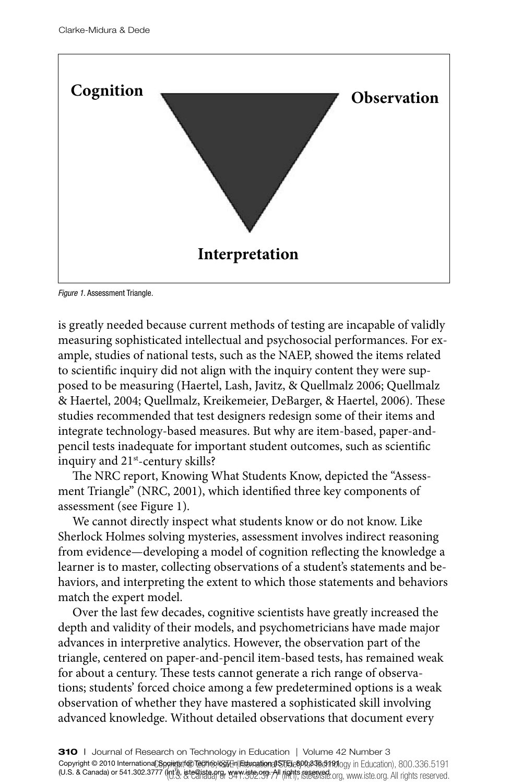

*Figure 1.* Assessment Triangle.

is greatly needed because current methods of testing are incapable of validly measuring sophisticated intellectual and psychosocial performances. For example, studies of national tests, such as the NAEP, showed the items related to scientific inquiry did not align with the inquiry content they were supposed to be measuring (Haertel, Lash, Javitz, & Quellmalz 2006; Quellmalz & Haertel, 2004; Quellmalz, Kreikemeier, DeBarger, & Haertel, 2006). These studies recommended that test designers redesign some of their items and integrate technology-based measures. But why are item-based, paper-andpencil tests inadequate for important student outcomes, such as scientific inquiry and 21st-century skills?

The NRC report, Knowing What Students Know, depicted the "Assessment Triangle" (NRC, 2001), which identified three key components of assessment (see Figure 1).

We cannot directly inspect what students know or do not know. Like Sherlock Holmes solving mysteries, assessment involves indirect reasoning from evidence—developing a model of cognition reflecting the knowledge a learner is to master, collecting observations of a student's statements and behaviors, and interpreting the extent to which those statements and behaviors match the expert model.

Over the last few decades, cognitive scientists have greatly increased the depth and validity of their models, and psychometricians have made major advances in interpretive analytics. However, the observation part of the triangle, centered on paper-and-pencil item-based tests, has remained weak for about a century. These tests cannot generate a rich range of observations; students' forced choice among a few predetermined options is a weak observation of whether they have mastered a sophisticated skill involving advanced knowledge. Without detailed observations that document every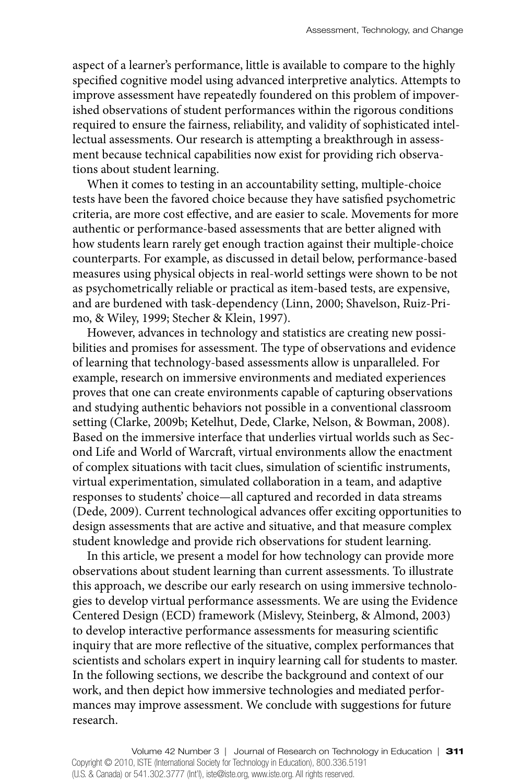aspect of a learner's performance, little is available to compare to the highly specified cognitive model using advanced interpretive analytics. Attempts to improve assessment have repeatedly foundered on this problem of impoverished observations of student performances within the rigorous conditions required to ensure the fairness, reliability, and validity of sophisticated intellectual assessments. Our research is attempting a breakthrough in assessment because technical capabilities now exist for providing rich observations about student learning.

When it comes to testing in an accountability setting, multiple-choice tests have been the favored choice because they have satisfied psychometric criteria, are more cost effective, and are easier to scale. Movements for more authentic or performance-based assessments that are better aligned with how students learn rarely get enough traction against their multiple-choice counterparts. For example, as discussed in detail below, performance-based measures using physical objects in real-world settings were shown to be not as psychometrically reliable or practical as item-based tests, are expensive, and are burdened with task-dependency (Linn, 2000; Shavelson, Ruiz-Primo, & Wiley, 1999; Stecher & Klein, 1997).

However, advances in technology and statistics are creating new possibilities and promises for assessment. The type of observations and evidence of learning that technology-based assessments allow is unparalleled. For example, research on immersive environments and mediated experiences proves that one can create environments capable of capturing observations and studying authentic behaviors not possible in a conventional classroom setting (Clarke, 2009b; Ketelhut, Dede, Clarke, Nelson, & Bowman, 2008). Based on the immersive interface that underlies virtual worlds such as Second Life and World of Warcraft, virtual environments allow the enactment of complex situations with tacit clues, simulation of scientific instruments, virtual experimentation, simulated collaboration in a team, and adaptive responses to students' choice—all captured and recorded in data streams (Dede, 2009). Current technological advances offer exciting opportunities to design assessments that are active and situative, and that measure complex student knowledge and provide rich observations for student learning.

In this article, we present a model for how technology can provide more observations about student learning than current assessments. To illustrate this approach, we describe our early research on using immersive technologies to develop virtual performance assessments. We are using the Evidence Centered Design (ECD) framework (Mislevy, Steinberg, & Almond, 2003) to develop interactive performance assessments for measuring scientific inquiry that are more reflective of the situative, complex performances that scientists and scholars expert in inquiry learning call for students to master. In the following sections, we describe the background and context of our work, and then depict how immersive technologies and mediated performances may improve assessment. We conclude with suggestions for future research.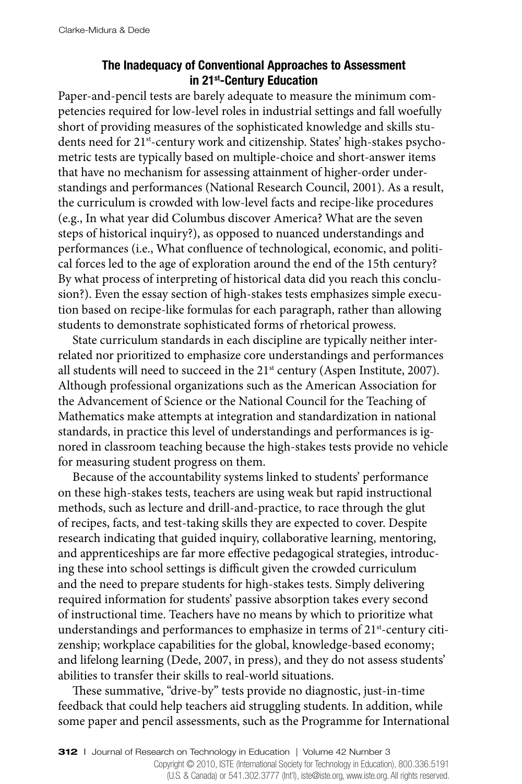# The Inadequacy of Conventional Approaches to Assessment in 21st-Century Education

Paper-and-pencil tests are barely adequate to measure the minimum competencies required for low-level roles in industrial settings and fall woefully short of providing measures of the sophisticated knowledge and skills students need for 21<sup>st</sup>-century work and citizenship. States' high-stakes psychometric tests are typically based on multiple-choice and short-answer items that have no mechanism for assessing attainment of higher-order understandings and performances (National Research Council, 2001). As a result, the curriculum is crowded with low-level facts and recipe-like procedures (e.g., In what year did Columbus discover America? What are the seven steps of historical inquiry?), as opposed to nuanced understandings and performances (i.e., What confluence of technological, economic, and political forces led to the age of exploration around the end of the 15th century? By what process of interpreting of historical data did you reach this conclusion?). Even the essay section of high-stakes tests emphasizes simple execution based on recipe-like formulas for each paragraph, rather than allowing students to demonstrate sophisticated forms of rhetorical prowess.

State curriculum standards in each discipline are typically neither interrelated nor prioritized to emphasize core understandings and performances all students will need to succeed in the 21<sup>st</sup> century (Aspen Institute, 2007). Although professional organizations such as the American Association for the Advancement of Science or the National Council for the Teaching of Mathematics make attempts at integration and standardization in national standards, in practice this level of understandings and performances is ignored in classroom teaching because the high-stakes tests provide no vehicle for measuring student progress on them.

Because of the accountability systems linked to students' performance on these high-stakes tests, teachers are using weak but rapid instructional methods, such as lecture and drill-and-practice, to race through the glut of recipes, facts, and test-taking skills they are expected to cover. Despite research indicating that guided inquiry, collaborative learning, mentoring, and apprenticeships are far more effective pedagogical strategies, introducing these into school settings is difficult given the crowded curriculum and the need to prepare students for high-stakes tests. Simply delivering required information for students' passive absorption takes every second of instructional time. Teachers have no means by which to prioritize what understandings and performances to emphasize in terms of 21<sup>st</sup>-century citizenship; workplace capabilities for the global, knowledge-based economy; and lifelong learning (Dede, 2007, in press), and they do not assess students' abilities to transfer their skills to real-world situations.

These summative, "drive-by" tests provide no diagnostic, just-in-time feedback that could help teachers aid struggling students. In addition, while some paper and pencil assessments, such as the Programme for International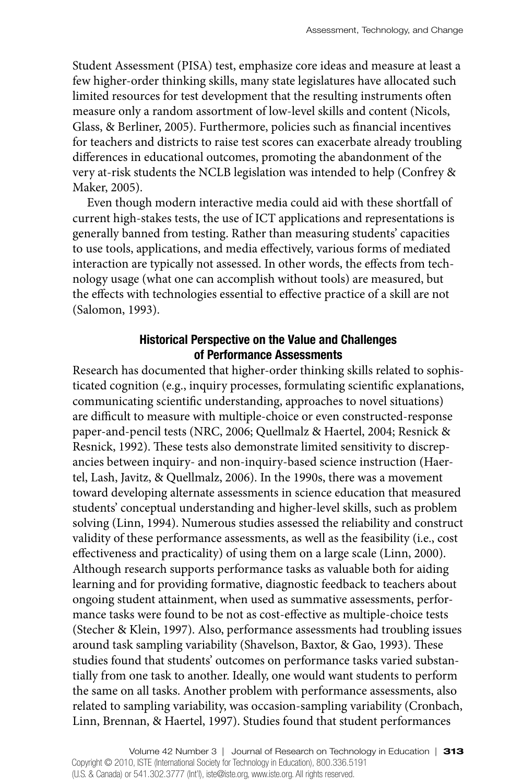Student Assessment (PISA) test, emphasize core ideas and measure at least a few higher-order thinking skills, many state legislatures have allocated such limited resources for test development that the resulting instruments often measure only a random assortment of low-level skills and content (Nicols, Glass, & Berliner, 2005). Furthermore, policies such as financial incentives for teachers and districts to raise test scores can exacerbate already troubling differences in educational outcomes, promoting the abandonment of the very at-risk students the NCLB legislation was intended to help (Confrey & Maker, 2005).

Even though modern interactive media could aid with these shortfall of current high-stakes tests, the use of ICT applications and representations is generally banned from testing. Rather than measuring students' capacities to use tools, applications, and media effectively, various forms of mediated interaction are typically not assessed. In other words, the effects from technology usage (what one can accomplish without tools) are measured, but the effects with technologies essential to effective practice of a skill are not (Salomon, 1993).

## Historical Perspective on the Value and Challenges of Performance Assessments

Research has documented that higher-order thinking skills related to sophisticated cognition (e.g., inquiry processes, formulating scientific explanations, communicating scientific understanding, approaches to novel situations) are difficult to measure with multiple-choice or even constructed-response paper-and-pencil tests (NRC, 2006; Quellmalz & Haertel, 2004; Resnick & Resnick, 1992). These tests also demonstrate limited sensitivity to discrepancies between inquiry- and non-inquiry-based science instruction (Haertel, Lash, Javitz, & Quellmalz, 2006). In the 1990s, there was a movement toward developing alternate assessments in science education that measured students' conceptual understanding and higher-level skills, such as problem solving (Linn, 1994). Numerous studies assessed the reliability and construct validity of these performance assessments, as well as the feasibility (i.e., cost effectiveness and practicality) of using them on a large scale (Linn, 2000). Although research supports performance tasks as valuable both for aiding learning and for providing formative, diagnostic feedback to teachers about ongoing student attainment, when used as summative assessments, performance tasks were found to be not as cost-effective as multiple-choice tests (Stecher & Klein, 1997). Also, performance assessments had troubling issues around task sampling variability (Shavelson, Baxtor, & Gao, 1993). These studies found that students' outcomes on performance tasks varied substantially from one task to another. Ideally, one would want students to perform the same on all tasks. Another problem with performance assessments, also related to sampling variability, was occasion-sampling variability (Cronbach, Linn, Brennan, & Haertel, 1997). Studies found that student performances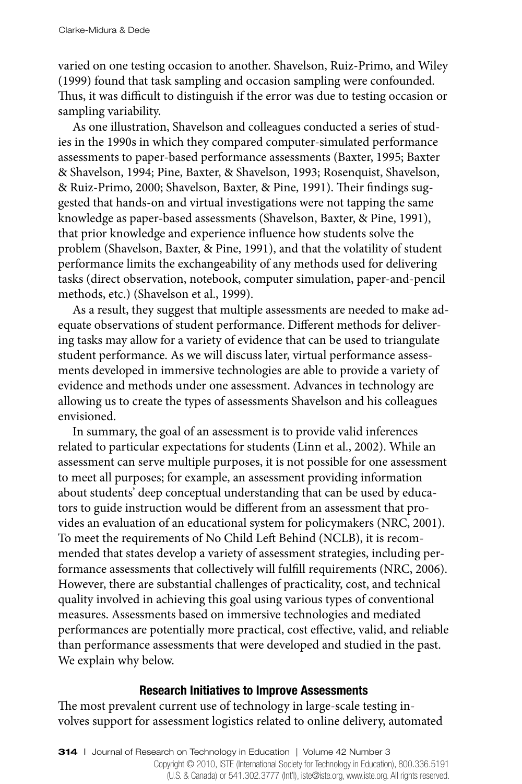varied on one testing occasion to another. Shavelson, Ruiz-Primo, and Wiley (1999) found that task sampling and occasion sampling were confounded. Thus, it was difficult to distinguish if the error was due to testing occasion or sampling variability.

As one illustration, Shavelson and colleagues conducted a series of studies in the 1990s in which they compared computer-simulated performance assessments to paper-based performance assessments (Baxter, 1995; Baxter & Shavelson, 1994; Pine, Baxter, & Shavelson, 1993; Rosenquist, Shavelson, & Ruiz-Primo, 2000; Shavelson, Baxter, & Pine, 1991). Their findings suggested that hands-on and virtual investigations were not tapping the same knowledge as paper-based assessments (Shavelson, Baxter, & Pine, 1991), that prior knowledge and experience influence how students solve the problem (Shavelson, Baxter, & Pine, 1991), and that the volatility of student performance limits the exchangeability of any methods used for delivering tasks (direct observation, notebook, computer simulation, paper-and-pencil methods, etc.) (Shavelson et al., 1999).

As a result, they suggest that multiple assessments are needed to make adequate observations of student performance. Different methods for delivering tasks may allow for a variety of evidence that can be used to triangulate student performance. As we will discuss later, virtual performance assessments developed in immersive technologies are able to provide a variety of evidence and methods under one assessment. Advances in technology are allowing us to create the types of assessments Shavelson and his colleagues envisioned.

In summary, the goal of an assessment is to provide valid inferences related to particular expectations for students (Linn et al., 2002). While an assessment can serve multiple purposes, it is not possible for one assessment to meet all purposes; for example, an assessment providing information about students' deep conceptual understanding that can be used by educators to guide instruction would be different from an assessment that provides an evaluation of an educational system for policymakers (NRC, 2001). To meet the requirements of No Child Left Behind (NCLB), it is recommended that states develop a variety of assessment strategies, including performance assessments that collectively will fulfill requirements (NRC, 2006). However, there are substantial challenges of practicality, cost, and technical quality involved in achieving this goal using various types of conventional measures. Assessments based on immersive technologies and mediated performances are potentially more practical, cost effective, valid, and reliable than performance assessments that were developed and studied in the past. We explain why below.

# Research Initiatives to Improve Assessments

The most prevalent current use of technology in large-scale testing involves support for assessment logistics related to online delivery, automated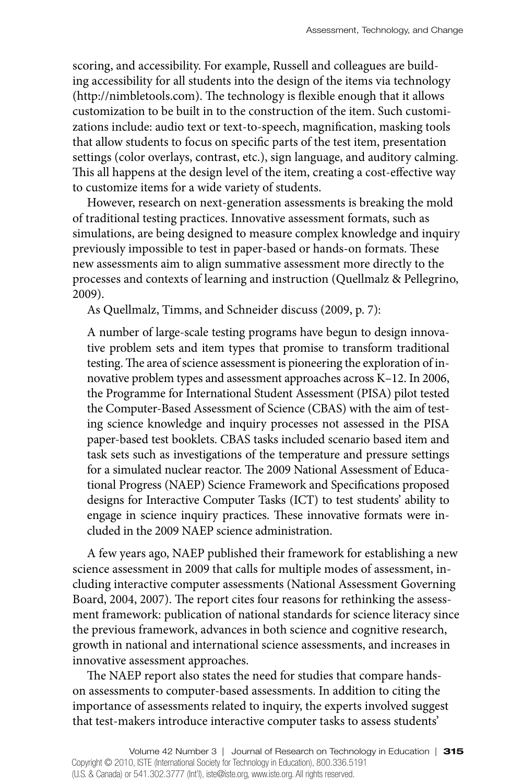scoring, and accessibility. For example, Russell and colleagues are building accessibility for all students into the design of the items via technology (http://nimbletools.com). The technology is flexible enough that it allows customization to be built in to the construction of the item. Such customizations include: audio text or text-to-speech, magnification, masking tools that allow students to focus on specific parts of the test item, presentation settings (color overlays, contrast, etc.), sign language, and auditory calming. This all happens at the design level of the item, creating a cost-effective way to customize items for a wide variety of students.

However, research on next-generation assessments is breaking the mold of traditional testing practices. Innovative assessment formats, such as simulations, are being designed to measure complex knowledge and inquiry previously impossible to test in paper-based or hands-on formats. These new assessments aim to align summative assessment more directly to the processes and contexts of learning and instruction (Quellmalz & Pellegrino, 2009).

As Quellmalz, Timms, and Schneider discuss (2009, p. 7):

A number of large-scale testing programs have begun to design innovative problem sets and item types that promise to transform traditional testing. The area of science assessment is pioneering the exploration of innovative problem types and assessment approaches across K–12. In 2006, the Programme for International Student Assessment (PISA) pilot tested the Computer-Based Assessment of Science (CBAS) with the aim of testing science knowledge and inquiry processes not assessed in the PISA paper-based test booklets. CBAS tasks included scenario based item and task sets such as investigations of the temperature and pressure settings for a simulated nuclear reactor. The 2009 National Assessment of Educational Progress (NAEP) Science Framework and Specifications proposed designs for Interactive Computer Tasks (ICT) to test students' ability to engage in science inquiry practices. These innovative formats were included in the 2009 NAEP science administration.

A few years ago, NAEP published their framework for establishing a new science assessment in 2009 that calls for multiple modes of assessment, including interactive computer assessments (National Assessment Governing Board, 2004, 2007). The report cites four reasons for rethinking the assessment framework: publication of national standards for science literacy since the previous framework, advances in both science and cognitive research, growth in national and international science assessments, and increases in innovative assessment approaches.

The NAEP report also states the need for studies that compare handson assessments to computer-based assessments. In addition to citing the importance of assessments related to inquiry, the experts involved suggest that test-makers introduce interactive computer tasks to assess students'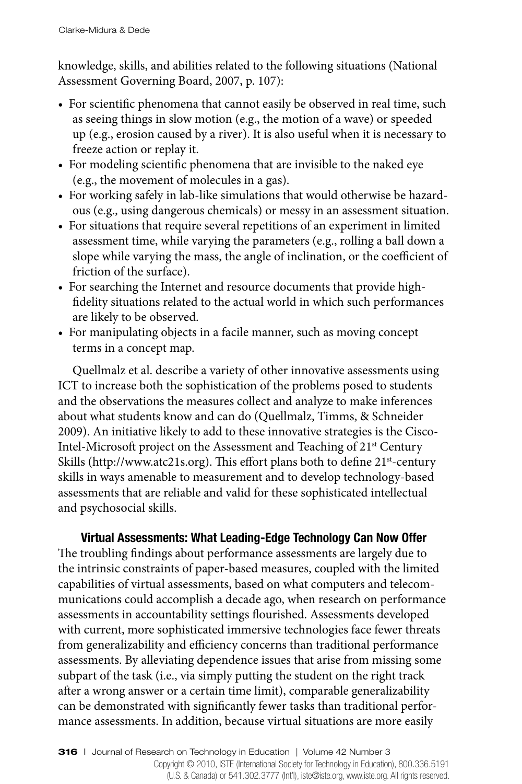knowledge, skills, and abilities related to the following situations (National Assessment Governing Board, 2007, p. 107):

- For scientific phenomena that cannot easily be observed in real time, such as seeing things in slow motion (e.g., the motion of a wave) or speeded up (e.g., erosion caused by a river). It is also useful when it is necessary to freeze action or replay it.
- For modeling scientific phenomena that are invisible to the naked eye (e.g., the movement of molecules in a gas).
- For working safely in lab-like simulations that would otherwise be hazardous (e.g., using dangerous chemicals) or messy in an assessment situation.
- For situations that require several repetitions of an experiment in limited assessment time, while varying the parameters (e.g., rolling a ball down a slope while varying the mass, the angle of inclination, or the coefficient of friction of the surface).
- For searching the Internet and resource documents that provide highfidelity situations related to the actual world in which such performances are likely to be observed.
- For manipulating objects in a facile manner, such as moving concept terms in a concept map.

Quellmalz et al. describe a variety of other innovative assessments using ICT to increase both the sophistication of the problems posed to students and the observations the measures collect and analyze to make inferences about what students know and can do (Quellmalz, Timms, & Schneider 2009). An initiative likely to add to these innovative strategies is the Cisco-Intel-Microsoft project on the Assessment and Teaching of  $21<sup>st</sup>$  Century Skills (http://www.atc21s.org). This effort plans both to define 21<sup>st</sup>-century skills in ways amenable to measurement and to develop technology-based assessments that are reliable and valid for these sophisticated intellectual and psychosocial skills.

Virtual Assessments: What Leading-Edge Technology Can Now Offer The troubling findings about performance assessments are largely due to the intrinsic constraints of paper-based measures, coupled with the limited capabilities of virtual assessments, based on what computers and telecommunications could accomplish a decade ago, when research on performance assessments in accountability settings flourished. Assessments developed with current, more sophisticated immersive technologies face fewer threats from generalizability and efficiency concerns than traditional performance assessments. By alleviating dependence issues that arise from missing some subpart of the task (i.e., via simply putting the student on the right track after a wrong answer or a certain time limit), comparable generalizability can be demonstrated with significantly fewer tasks than traditional performance assessments. In addition, because virtual situations are more easily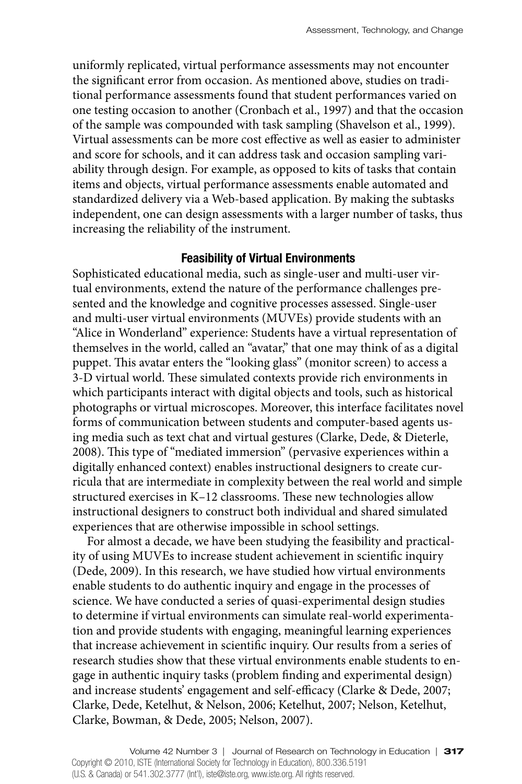uniformly replicated, virtual performance assessments may not encounter the significant error from occasion. As mentioned above, studies on traditional performance assessments found that student performances varied on one testing occasion to another (Cronbach et al., 1997) and that the occasion of the sample was compounded with task sampling (Shavelson et al., 1999). Virtual assessments can be more cost effective as well as easier to administer and score for schools, and it can address task and occasion sampling variability through design. For example, as opposed to kits of tasks that contain items and objects, virtual performance assessments enable automated and standardized delivery via a Web-based application. By making the subtasks independent, one can design assessments with a larger number of tasks, thus increasing the reliability of the instrument.

#### Feasibility of Virtual Environments

Sophisticated educational media, such as single-user and multi-user virtual environments, extend the nature of the performance challenges presented and the knowledge and cognitive processes assessed. Single-user and multi-user virtual environments (MUVEs) provide students with an "Alice in Wonderland" experience: Students have a virtual representation of themselves in the world, called an "avatar," that one may think of as a digital puppet. This avatar enters the "looking glass" (monitor screen) to access a 3-D virtual world. These simulated contexts provide rich environments in which participants interact with digital objects and tools, such as historical photographs or virtual microscopes. Moreover, this interface facilitates novel forms of communication between students and computer-based agents using media such as text chat and virtual gestures (Clarke, Dede, & Dieterle, 2008). This type of "mediated immersion" (pervasive experiences within a digitally enhanced context) enables instructional designers to create curricula that are intermediate in complexity between the real world and simple structured exercises in K–12 classrooms. These new technologies allow instructional designers to construct both individual and shared simulated experiences that are otherwise impossible in school settings.

For almost a decade, we have been studying the feasibility and practicality of using MUVEs to increase student achievement in scientific inquiry (Dede, 2009). In this research, we have studied how virtual environments enable students to do authentic inquiry and engage in the processes of science. We have conducted a series of quasi-experimental design studies to determine if virtual environments can simulate real-world experimentation and provide students with engaging, meaningful learning experiences that increase achievement in scientific inquiry. Our results from a series of research studies show that these virtual environments enable students to engage in authentic inquiry tasks (problem finding and experimental design) and increase students' engagement and self-efficacy (Clarke & Dede, 2007; Clarke, Dede, Ketelhut, & Nelson, 2006; Ketelhut, 2007; Nelson, Ketelhut, Clarke, Bowman, & Dede, 2005; Nelson, 2007).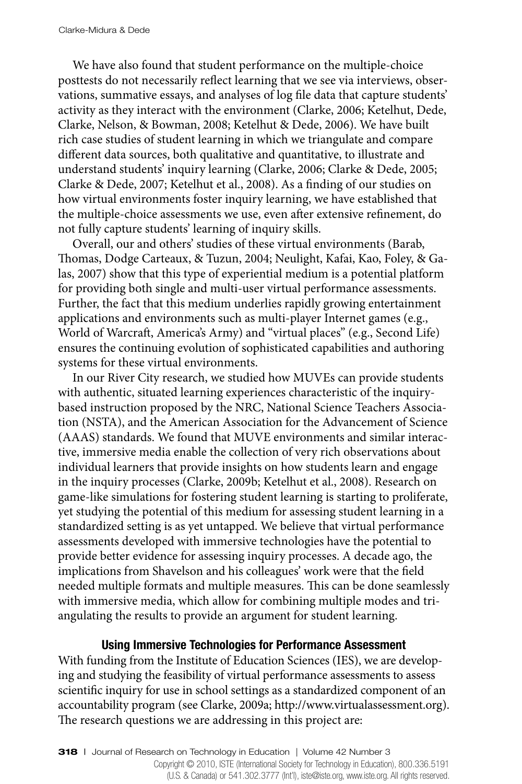We have also found that student performance on the multiple-choice posttests do not necessarily reflect learning that we see via interviews, observations, summative essays, and analyses of log file data that capture students' activity as they interact with the environment (Clarke, 2006; Ketelhut, Dede, Clarke, Nelson, & Bowman, 2008; Ketelhut & Dede, 2006). We have built rich case studies of student learning in which we triangulate and compare different data sources, both qualitative and quantitative, to illustrate and understand students' inquiry learning (Clarke, 2006; Clarke & Dede, 2005; Clarke & Dede, 2007; Ketelhut et al., 2008). As a finding of our studies on how virtual environments foster inquiry learning, we have established that the multiple-choice assessments we use, even after extensive refinement, do not fully capture students' learning of inquiry skills.

Overall, our and others' studies of these virtual environments (Barab, Thomas, Dodge Carteaux, & Tuzun, 2004; Neulight, Kafai, Kao, Foley, & Galas, 2007) show that this type of experiential medium is a potential platform for providing both single and multi-user virtual performance assessments. Further, the fact that this medium underlies rapidly growing entertainment applications and environments such as multi-player Internet games (e.g., World of Warcraft, America's Army) and "virtual places" (e.g., Second Life) ensures the continuing evolution of sophisticated capabilities and authoring systems for these virtual environments.

In our River City research, we studied how MUVEs can provide students with authentic, situated learning experiences characteristic of the inquirybased instruction proposed by the NRC, National Science Teachers Association (NSTA), and the American Association for the Advancement of Science (AAAS) standards. We found that MUVE environments and similar interactive, immersive media enable the collection of very rich observations about individual learners that provide insights on how students learn and engage in the inquiry processes (Clarke, 2009b; Ketelhut et al., 2008). Research on game-like simulations for fostering student learning is starting to proliferate, yet studying the potential of this medium for assessing student learning in a standardized setting is as yet untapped. We believe that virtual performance assessments developed with immersive technologies have the potential to provide better evidence for assessing inquiry processes. A decade ago, the implications from Shavelson and his colleagues' work were that the field needed multiple formats and multiple measures. This can be done seamlessly with immersive media, which allow for combining multiple modes and triangulating the results to provide an argument for student learning.

#### Using Immersive Technologies for Performance Assessment

With funding from the Institute of Education Sciences (IES), we are developing and studying the feasibility of virtual performance assessments to assess scientific inquiry for use in school settings as a standardized component of an accountability program (see Clarke, 2009a; http://www.virtualassessment.org). The research questions we are addressing in this project are: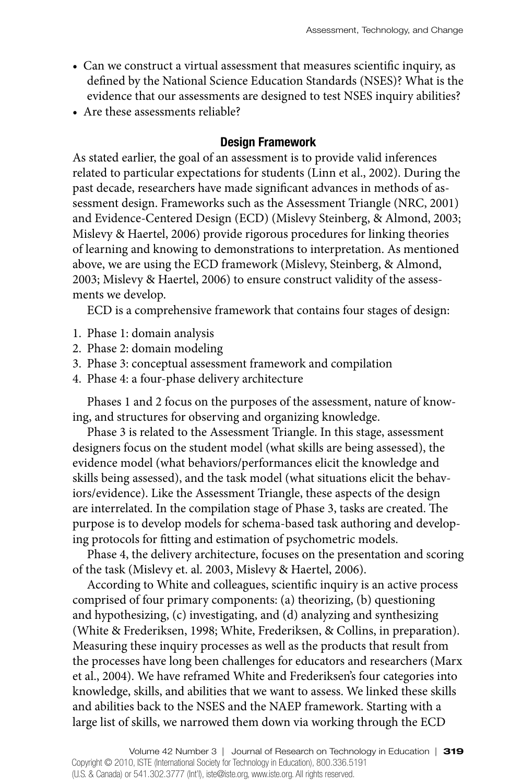- • Can we construct a virtual assessment that measures scientific inquiry, as defined by the National Science Education Standards (NSES)? What is the evidence that our assessments are designed to test NSES inquiry abilities?
- Are these assessments reliable?

#### Design Framework

As stated earlier, the goal of an assessment is to provide valid inferences related to particular expectations for students (Linn et al., 2002). During the past decade, researchers have made significant advances in methods of assessment design. Frameworks such as the Assessment Triangle (NRC, 2001) and Evidence-Centered Design (ECD) (Mislevy Steinberg, & Almond, 2003; Mislevy & Haertel, 2006) provide rigorous procedures for linking theories of learning and knowing to demonstrations to interpretation. As mentioned above, we are using the ECD framework (Mislevy, Steinberg, & Almond, 2003; Mislevy & Haertel, 2006) to ensure construct validity of the assessments we develop.

ECD is a comprehensive framework that contains four stages of design:

- 1. Phase 1: domain analysis
- 2. Phase 2: domain modeling
- 3. Phase 3: conceptual assessment framework and compilation
- 4. Phase 4: a four-phase delivery architecture

Phases 1 and 2 focus on the purposes of the assessment, nature of knowing, and structures for observing and organizing knowledge.

Phase 3 is related to the Assessment Triangle. In this stage, assessment designers focus on the student model (what skills are being assessed), the evidence model (what behaviors/performances elicit the knowledge and skills being assessed), and the task model (what situations elicit the behaviors/evidence). Like the Assessment Triangle, these aspects of the design are interrelated. In the compilation stage of Phase 3, tasks are created. The purpose is to develop models for schema-based task authoring and developing protocols for fitting and estimation of psychometric models.

Phase 4, the delivery architecture, focuses on the presentation and scoring of the task (Mislevy et. al. 2003, Mislevy & Haertel, 2006).

According to White and colleagues, scientific inquiry is an active process comprised of four primary components: (a) theorizing, (b) questioning and hypothesizing, (c) investigating, and (d) analyzing and synthesizing (White & Frederiksen, 1998; White, Frederiksen, & Collins, in preparation). Measuring these inquiry processes as well as the products that result from the processes have long been challenges for educators and researchers (Marx et al., 2004). We have reframed White and Frederiksen's four categories into knowledge, skills, and abilities that we want to assess. We linked these skills and abilities back to the NSES and the NAEP framework. Starting with a large list of skills, we narrowed them down via working through the ECD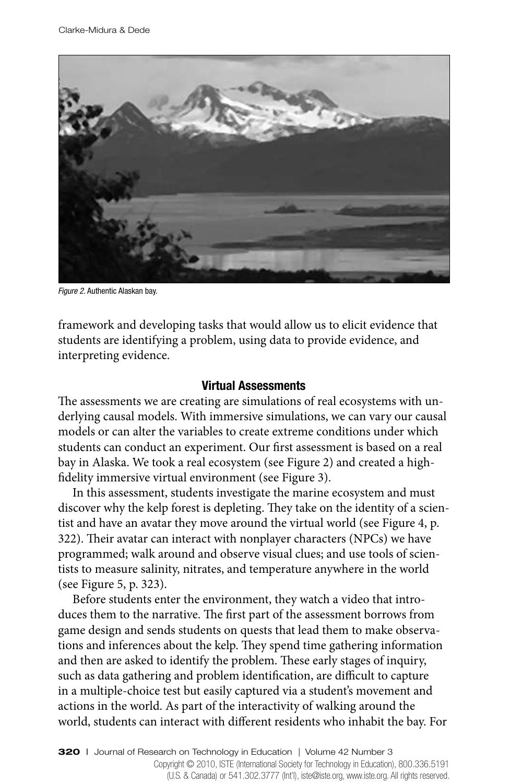

*Figure 2.* Authentic Alaskan bay.

framework and developing tasks that would allow us to elicit evidence that students are identifying a problem, using data to provide evidence, and interpreting evidence.

#### Virtual Assessments

The assessments we are creating are simulations of real ecosystems with underlying causal models. With immersive simulations, we can vary our causal models or can alter the variables to create extreme conditions under which students can conduct an experiment. Our first assessment is based on a real bay in Alaska. We took a real ecosystem (see Figure 2) and created a highfidelity immersive virtual environment (see Figure 3).

In this assessment, students investigate the marine ecosystem and must discover why the kelp forest is depleting. They take on the identity of a scientist and have an avatar they move around the virtual world (see Figure 4, p. 322). Their avatar can interact with nonplayer characters (NPCs) we have programmed; walk around and observe visual clues; and use tools of scientists to measure salinity, nitrates, and temperature anywhere in the world (see Figure 5, p. 323).

Before students enter the environment, they watch a video that introduces them to the narrative. The first part of the assessment borrows from game design and sends students on quests that lead them to make observations and inferences about the kelp. They spend time gathering information and then are asked to identify the problem. These early stages of inquiry, such as data gathering and problem identification, are difficult to capture in a multiple-choice test but easily captured via a student's movement and actions in the world. As part of the interactivity of walking around the world, students can interact with different residents who inhabit the bay. For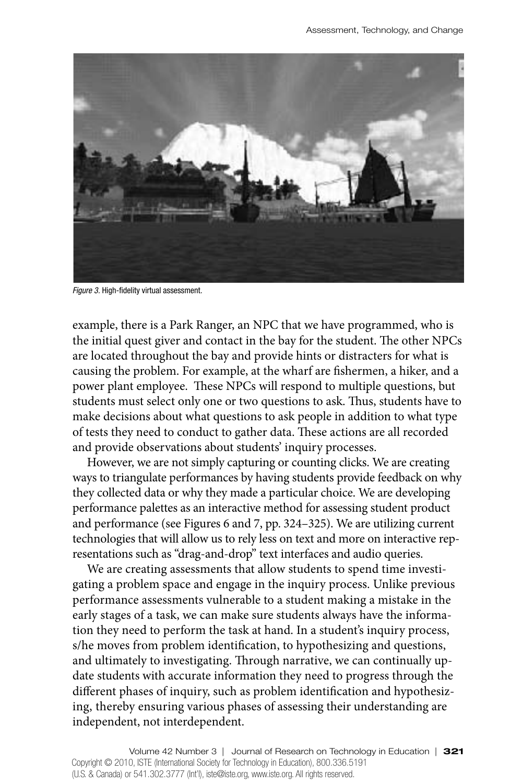

*Figure 3.* High-fidelity virtual assessment.

example, there is a Park Ranger, an NPC that we have programmed, who is the initial quest giver and contact in the bay for the student. The other NPCs are located throughout the bay and provide hints or distracters for what is causing the problem. For example, at the wharf are fishermen, a hiker, and a power plant employee. These NPCs will respond to multiple questions, but students must select only one or two questions to ask. Thus, students have to make decisions about what questions to ask people in addition to what type of tests they need to conduct to gather data. These actions are all recorded and provide observations about students' inquiry processes.

However, we are not simply capturing or counting clicks. We are creating ways to triangulate performances by having students provide feedback on why they collected data or why they made a particular choice. We are developing performance palettes as an interactive method for assessing student product and performance (see Figures 6 and 7, pp. 324–325). We are utilizing current technologies that will allow us to rely less on text and more on interactive representations such as "drag-and-drop" text interfaces and audio queries.

We are creating assessments that allow students to spend time investigating a problem space and engage in the inquiry process. Unlike previous performance assessments vulnerable to a student making a mistake in the early stages of a task, we can make sure students always have the information they need to perform the task at hand. In a student's inquiry process, s/he moves from problem identification, to hypothesizing and questions, and ultimately to investigating. Through narrative, we can continually update students with accurate information they need to progress through the different phases of inquiry, such as problem identification and hypothesizing, thereby ensuring various phases of assessing their understanding are independent, not interdependent.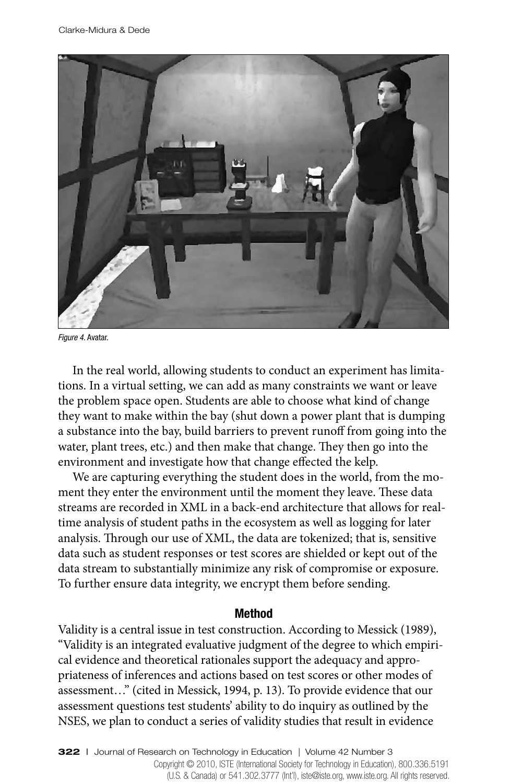

*Figure 4.* Avatar.

In the real world, allowing students to conduct an experiment has limitations. In a virtual setting, we can add as many constraints we want or leave the problem space open. Students are able to choose what kind of change they want to make within the bay (shut down a power plant that is dumping a substance into the bay, build barriers to prevent runoff from going into the water, plant trees, etc.) and then make that change. They then go into the environment and investigate how that change effected the kelp.

We are capturing everything the student does in the world, from the moment they enter the environment until the moment they leave. These data streams are recorded in XML in a back-end architecture that allows for realtime analysis of student paths in the ecosystem as well as logging for later analysis. Through our use of XML, the data are tokenized; that is, sensitive data such as student responses or test scores are shielded or kept out of the data stream to substantially minimize any risk of compromise or exposure. To further ensure data integrity, we encrypt them before sending.

#### Method

Validity is a central issue in test construction. According to Messick (1989), "Validity is an integrated evaluative judgment of the degree to which empirical evidence and theoretical rationales support the adequacy and appropriateness of inferences and actions based on test scores or other modes of assessment…" (cited in Messick, 1994, p. 13). To provide evidence that our assessment questions test students' ability to do inquiry as outlined by the NSES, we plan to conduct a series of validity studies that result in evidence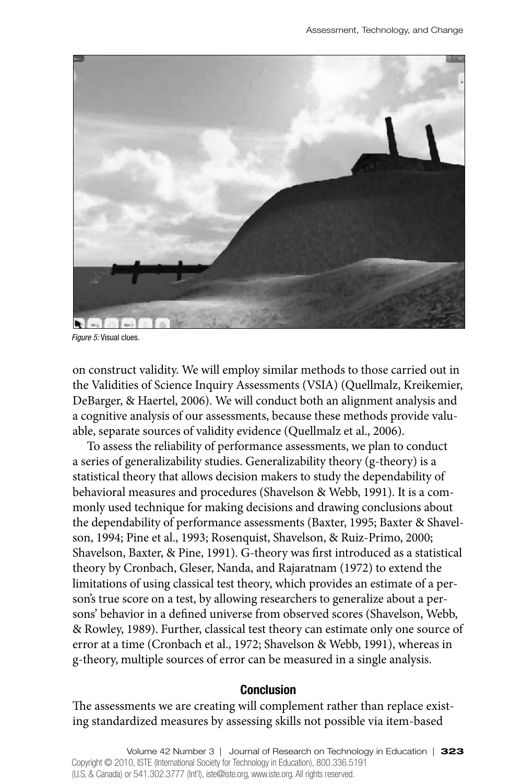

*Figure 5:* Visual clues.

on construct validity. We will employ similar methods to those carried out in the Validities of Science Inquiry Assessments (VSIA) (Quellmalz, Kreikemier, DeBarger, & Haertel, 2006). We will conduct both an alignment analysis and a cognitive analysis of our assessments, because these methods provide valuable, separate sources of validity evidence (Quellmalz et al., 2006).

To assess the reliability of performance assessments, we plan to conduct a series of generalizability studies. Generalizability theory (g-theory) is a statistical theory that allows decision makers to study the dependability of behavioral measures and procedures (Shavelson & Webb, 1991). It is a commonly used technique for making decisions and drawing conclusions about the dependability of performance assessments (Baxter, 1995; Baxter & Shavelson, 1994; Pine et al., 1993; Rosenquist, Shavelson, & Ruiz-Primo, 2000; Shavelson, Baxter, & Pine, 1991). G-theory was first introduced as a statistical theory by Cronbach, Gleser, Nanda, and Rajaratnam (1972) to extend the limitations of using classical test theory, which provides an estimate of a person's true score on a test, by allowing researchers to generalize about a persons' behavior in a defined universe from observed scores (Shavelson, Webb, & Rowley, 1989). Further, classical test theory can estimate only one source of error at a time (Cronbach et al., 1972; Shavelson & Webb, 1991), whereas in g-theory, multiple sources of error can be measured in a single analysis.

#### Conclusion

The assessments we are creating will complement rather than replace existing standardized measures by assessing skills not possible via item-based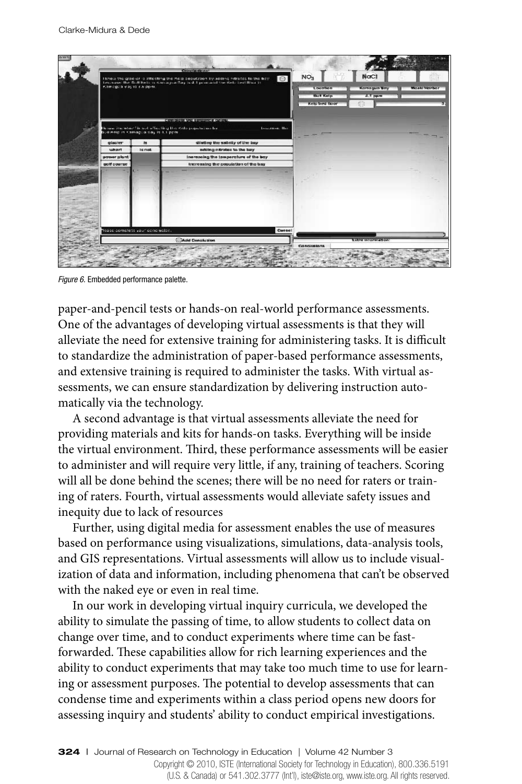|                         |                                             | Ottori id this part                                                                 |                  |                          |              |              |
|-------------------------|---------------------------------------------|-------------------------------------------------------------------------------------|------------------|--------------------------|--------------|--------------|
|                         |                                             | tithew the gladier is stiledling the Reig sepulstion by adding nitrates to the boy- | $\Theta$         | NO <sub>3</sub>          | Noc:         |              |
| Kamagda eas is zo prim. |                                             | because the field liets in samples flex is 4.1 permised for Kell, bed floor in      |                  | Location                 | Kamagun Briv | Waaki Horbor |
|                         |                                             |                                                                                     |                  | <b>But Kelp</b>          | 4.T pane     |              |
|                         |                                             |                                                                                     |                  | <b>Retz bed floor</b>    | 初期           |              |
|                         |                                             | Contribute the concerning paints.                                                   |                  |                          |              |              |
|                         | Bolt Help in Famapua eay is 1.1 ppm.        | Hence the wher' is not effecting the Sale population by                             | Louisianer, Han- |                          |              |              |
| glaster                 | $\mathbf{r}$                                | dileting the sailnity of the bay                                                    |                  |                          |              |              |
| <b>WABIT</b>            | It not                                      | adding nitrates to the bey                                                          |                  |                          |              |              |
| power plant             |                                             | inereasing the temperature of the bay                                               |                  |                          |              |              |
| soft course.            |                                             | tricreasing the population of the bay                                               |                  |                          |              |              |
|                         |                                             |                                                                                     |                  |                          |              |              |
|                         |                                             |                                                                                     |                  |                          |              |              |
|                         |                                             |                                                                                     |                  |                          |              |              |
|                         |                                             |                                                                                     |                  |                          |              |              |
|                         |                                             |                                                                                     |                  |                          |              |              |
|                         |                                             |                                                                                     |                  |                          |              |              |
|                         |                                             |                                                                                     |                  |                          |              |              |
|                         |                                             |                                                                                     |                  |                          |              |              |
|                         | Control<br>idase complete vour oche ustori. |                                                                                     |                  |                          |              |              |
|                         | Add Conchiston                              |                                                                                     |                  | <b>Litre information</b> |              |              |
|                         |                                             |                                                                                     |                  | Concimient               |              |              |

*Figure 6.* Embedded performance palette.

paper-and-pencil tests or hands-on real-world performance assessments. One of the advantages of developing virtual assessments is that they will alleviate the need for extensive training for administering tasks. It is difficult to standardize the administration of paper-based performance assessments, and extensive training is required to administer the tasks. With virtual assessments, we can ensure standardization by delivering instruction automatically via the technology.

A second advantage is that virtual assessments alleviate the need for providing materials and kits for hands-on tasks. Everything will be inside the virtual environment. Third, these performance assessments will be easier to administer and will require very little, if any, training of teachers. Scoring will all be done behind the scenes; there will be no need for raters or training of raters. Fourth, virtual assessments would alleviate safety issues and inequity due to lack of resources

Further, using digital media for assessment enables the use of measures based on performance using visualizations, simulations, data-analysis tools, and GIS representations. Virtual assessments will allow us to include visualization of data and information, including phenomena that can't be observed with the naked eye or even in real time.

In our work in developing virtual inquiry curricula, we developed the ability to simulate the passing of time, to allow students to collect data on change over time, and to conduct experiments where time can be fastforwarded. These capabilities allow for rich learning experiences and the ability to conduct experiments that may take too much time to use for learning or assessment purposes. The potential to develop assessments that can condense time and experiments within a class period opens new doors for assessing inquiry and students' ability to conduct empirical investigations.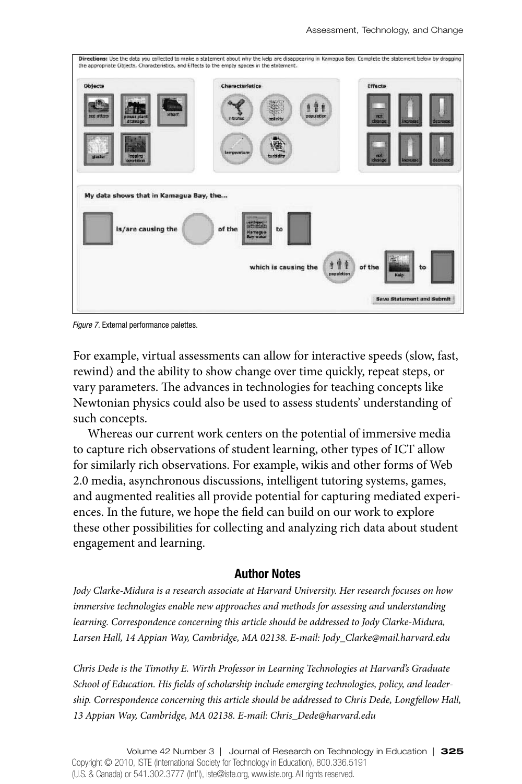

*Figure 7.* External performance palettes.

For example, virtual assessments can allow for interactive speeds (slow, fast, rewind) and the ability to show change over time quickly, repeat steps, or vary parameters. The advances in technologies for teaching concepts like Newtonian physics could also be used to assess students' understanding of such concepts.

Whereas our current work centers on the potential of immersive media to capture rich observations of student learning, other types of ICT allow for similarly rich observations. For example, wikis and other forms of Web 2.0 media, asynchronous discussions, intelligent tutoring systems, games, and augmented realities all provide potential for capturing mediated experiences. In the future, we hope the field can build on our work to explore these other possibilities for collecting and analyzing rich data about student engagement and learning.

## Author Notes

*Jody Clarke-Midura is a research associate at Harvard University. Her research focuses on how immersive technologies enable new approaches and methods for assessing and understanding learning. Correspondence concerning this article should be addressed to Jody Clarke-Midura, Larsen Hall, 14 Appian Way, Cambridge, MA 02138. E-mail: Jody\_Clarke@mail.harvard.edu*

*Chris Dede is the Timothy E. Wirth Professor in Learning Technologies at Harvard's Graduate School of Education. His fields of scholarship include emerging technologies, policy, and leadership. Correspondence concerning this article should be addressed to Chris Dede, Longfellow Hall, 13 Appian Way, Cambridge, MA 02138. E-mail: Chris\_Dede@harvard.edu*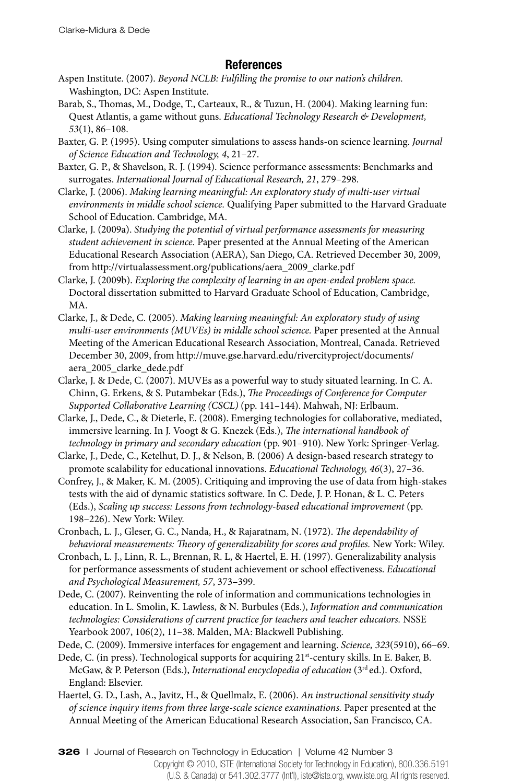#### References

- Aspen Institute. (2007). *Beyond NCLB: Fulfilling the promise to our nation's children.*  Washington, DC: Aspen Institute.
- Barab, S., Thomas, M., Dodge, T., Carteaux, R., & Tuzun, H. (2004). Making learning fun: Quest Atlantis, a game without guns. *Educational Technology Research & Development, 53*(1), 86–108.
- Baxter, G. P. (1995). Using computer simulations to assess hands-on science learning. *Journal of Science Education and Technology, 4*, 21–27.
- Baxter, G. P., & Shavelson, R. J. (1994). Science performance assessments: Benchmarks and surrogates. *International Journal of Educational Research, 21*, 279–298.
- Clarke, J. (2006). *Making learning meaningful: An exploratory study of multi-user virtual environments in middle school science.* Qualifying Paper submitted to the Harvard Graduate School of Education. Cambridge, MA.
- Clarke, J. (2009a). *Studying the potential of virtual performance assessments for measuring student achievement in science.* Paper presented at the Annual Meeting of the American Educational Research Association (AERA), San Diego, CA. Retrieved December 30, 2009, from http://virtualassessment.org/publications/aera\_2009\_clarke.pdf
- Clarke, J. (2009b). *Exploring the complexity of learning in an open-ended problem space.*  Doctoral dissertation submitted to Harvard Graduate School of Education, Cambridge, MA.
- Clarke, J., & Dede, C. (2005). *Making learning meaningful: An exploratory study of using multi-user environments (MUVEs) in middle school science.* Paper presented at the Annual Meeting of the American Educational Research Association, Montreal, Canada. Retrieved December 30, 2009, from http://muve.gse.harvard.edu/rivercityproject/documents/ aera\_2005\_clarke\_dede.pdf
- Clarke, J. & Dede, C. (2007). MUVEs as a powerful way to study situated learning. In C. A. Chinn, G. Erkens, & S. Putambekar (Eds.), *The Proceedings of Conference for Computer Supported Collaborative Learning (CSCL)* (pp. 141–144). Mahwah, NJ: Erlbaum.
- Clarke, J., Dede, C., & Dieterle, E. (2008). Emerging technologies for collaborative, mediated, immersive learning. In J. Voogt & G. Knezek (Eds.), *The international handbook of technology in primary and secondary education* (pp. 901–910). New York: Springer-Verlag.
- Clarke, J., Dede, C., Ketelhut, D. J., & Nelson, B. (2006) A design-based research strategy to promote scalability for educational innovations. *Educational Technology, 46*(3), 27–36.
- Confrey, J., & Maker, K. M. (2005). Critiquing and improving the use of data from high-stakes tests with the aid of dynamic statistics software. In C. Dede, J. P. Honan, & L. C. Peters (Eds.), *Scaling up success: Lessons from technology-based educational improvement* (pp. 198–226). New York: Wiley.
- Cronbach, L. J., Gleser, G. C., Nanda, H., & Rajaratnam, N. (1972). *The dependability of behavioral measurements: Theory of generalizability for scores and profiles.* New York: Wiley.
- Cronbach, L. J., Linn, R. L., Brennan, R. L, & Haertel, E. H. (1997). Generalizability analysis for performance assessments of student achievement or school effectiveness. *Educational and Psychological Measurement, 57*, 373–399.
- Dede, C. (2007). Reinventing the role of information and communications technologies in education. In L. Smolin, K. Lawless, & N. Burbules (Eds.), *Information and communication technologies: Considerations of current practice for teachers and teacher educators.* NSSE Yearbook 2007, 106(2), 11–38. Malden, MA: Blackwell Publishing.
- Dede, C. (2009). Immersive interfaces for engagement and learning. *Science, 323*(5910), 66–69.
- Dede, C. (in press). Technological supports for acquiring 21<sup>st</sup>-century skills. In E. Baker, B. McGaw, & P. Peterson (Eds.), *International encyclopedia of education* (3rd ed.). Oxford, England: Elsevier.
- Haertel, G. D., Lash, A., Javitz, H., & Quellmalz, E. (2006). *An instructional sensitivity study of science inquiry items from three large-scale science examinations.* Paper presented at the Annual Meeting of the American Educational Research Association, San Francisco, CA.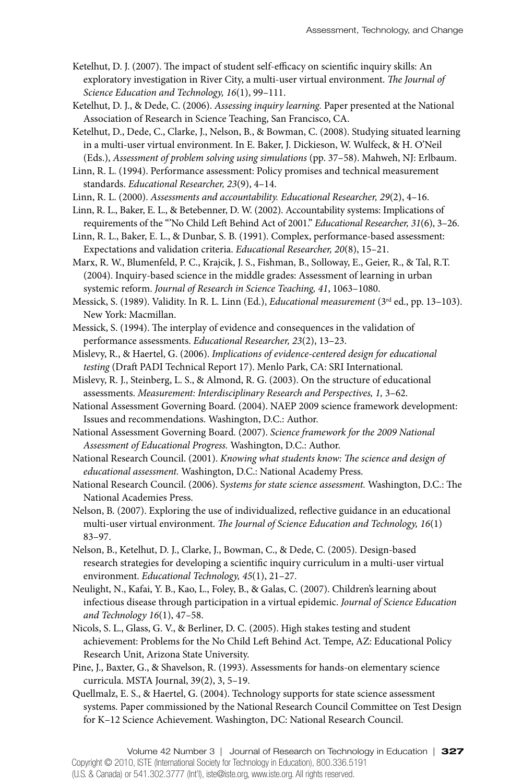- Ketelhut, D. J. (2007). The impact of student self-efficacy on scientific inquiry skills: An exploratory investigation in River City, a multi-user virtual environment. *The Journal of Science Education and Technology, 16*(1), 99–111.
- Ketelhut, D. J., & Dede, C. (2006). *Assessing inquiry learning.* Paper presented at the National Association of Research in Science Teaching, San Francisco, CA.
- Ketelhut, D., Dede, C., Clarke, J., Nelson, B., & Bowman, C. (2008). Studying situated learning in a multi-user virtual environment. In E. Baker, J. Dickieson, W. Wulfeck, & H. O'Neil (Eds.), *Assessment of problem solving using simulations* (pp. 37–58). Mahweh, NJ: Erlbaum.
- Linn, R. L. (1994). Performance assessment: Policy promises and technical measurement standards. *Educational Researcher, 23*(9), 4–14.
- Linn, R. L. (2000). *Assessments and accountability. Educational Researcher, 29*(2), 4–16.
- Linn, R. L., Baker, E. L., & Betebenner, D. W. (2002). Accountability systems: Implications of requirements of the "'No Child Left Behind Act of 2001." *Educational Researcher, 31*(6), 3–26.
- Linn, R. L., Baker, E. L., & Dunbar, S. B. (1991). Complex, performance-based assessment: Expectations and validation criteria. *Educational Researcher, 20*(8), 15–21.
- Marx, R. W., Blumenfeld, P. C., Krajcik, J. S., Fishman, B., Solloway, E., Geier, R., & Tal, R.T. (2004). Inquiry-based science in the middle grades: Assessment of learning in urban systemic reform. *Journal of Research in Science Teaching, 41*, 1063–1080.
- Messick, S. (1989). Validity. In R. L. Linn (Ed.), *Educational measurement* (3rd ed., pp. 13–103). New York: Macmillan.
- Messick, S. (1994). The interplay of evidence and consequences in the validation of performance assessments. *Educational Researcher, 23*(2), 13–23.
- Mislevy, R., & Haertel, G. (2006). *Implications of evidence-centered design for educational testing* (Draft PADI Technical Report 17). Menlo Park, CA: SRI International.
- Mislevy, R. J., Steinberg, L. S., & Almond, R. G. (2003). On the structure of educational assessments. *Measurement: Interdisciplinary Research and Perspectives, 1,* 3–62.
- National Assessment Governing Board. (2004). NAEP 2009 science framework development: Issues and recommendations. Washington, D.C.: Author.
- National Assessment Governing Board. (2007). *Science framework for the 2009 National Assessment of Educational Progress.* Washington, D.C.: Author.
- National Research Council. (2001). *Knowing what students know: The science and design of educational assessment.* Washington, D.C.: National Academy Press.
- National Research Council. (2006). S*ystems for state science assessment.* Washington, D.C.: The National Academies Press.
- Nelson, B. (2007). Exploring the use of individualized, reflective guidance in an educational multi-user virtual environment. *The Journal of Science Education and Technology, 16*(1) 83–97.
- Nelson, B., Ketelhut, D. J., Clarke, J., Bowman, C., & Dede, C. (2005). Design-based research strategies for developing a scientific inquiry curriculum in a multi-user virtual environment. *Educational Technology, 45*(1), 21–27.
- Neulight, N., Kafai, Y. B., Kao, L., Foley, B., & Galas, C. (2007). Children's learning about infectious disease through participation in a virtual epidemic. *Journal of Science Education and Technology 16*(1), 47–58.
- Nicols, S. L., Glass, G. V., & Berliner, D. C. (2005). High stakes testing and student achievement: Problems for the No Child Left Behind Act. Tempe, AZ: Educational Policy Research Unit, Arizona State University.
- Pine, J., Baxter, G., & Shavelson, R. (1993). Assessments for hands-on elementary science curricula. MSTA Journal, 39(2), 3, 5–19.
- Quellmalz, E. S., & Haertel, G. (2004). Technology supports for state science assessment systems. Paper commissioned by the National Research Council Committee on Test Design for K–12 Science Achievement. Washington, DC: National Research Council.